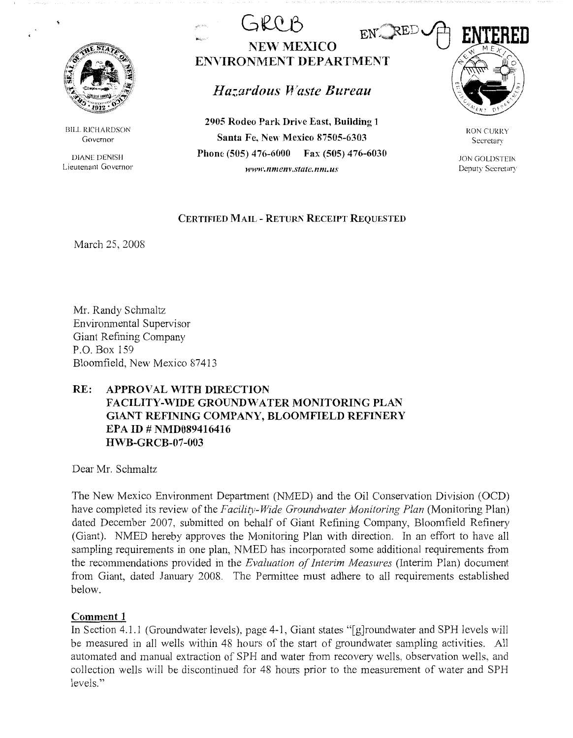

BILL RICHARDSON Governor

DIANE DENISH Lieutenant Governor

 $GRPOR$ **NEW MEXICO ENVIRONMENT DEPARTMENT** 

*Hazardous Waste Bureau* 

**2905 Rodeo Park Drive East, Building 1 Santa Fe, New Mexico 87505-6303 Phone (505) 476-6000 Fax (505) 476-6030**  *www. nmenv.statc. nm. us* 



RON CURRY Secretary

.ION GOLDSTEIN Deputy Secretary

# **CERTIFIED MAIL - RETURN RECEIPT REQUESTED**

March 25, 2008

Mr. Randy Schmaltz Enviromnental Supervisor Giant Refining Company P.O. Box 159 Bloomfield, New Mexico 87413

# **RE: APPROVAL WITH DIRECTION FACILITY-WIDE GROUNDWATER MONITORING PLAN GIANT REFINING COMPANY, BLOOMFIELD REFINERY EPA ID# NMD089416416 HWB-GRCB-07-003**

Dear Mr. Schmaltz

The New Mexico Environment Department (NMED) and the Oil Conservation Division (OCD) have completed its review of the *Facility-Wide Groundwater Monitoring Plan* (Monitoring Plan) dated December 2007, submitted on behalf of Giant Refining Company, Bloomfield Refinery (Giant). NMED hereby approves the Monitoring Plan with direction. In an effort to have all sampling requirements in one plan, NMED has incorporated some additional requirements from the recommendations provided in the *Evaluation of Interim Measures* (Interim Plan) document from Giant, dated January 2008. The Permittee must adhere to all requirements established below.

# **Comment 1**

In Section 4.1.1 (Groundwater levels), page 4-1, Giant states "[g]roundwater and SPH levels will be measured in all wells within 48 hours of the start of groundwater sampling activities. All automated and manual extraction of SPH and water from recovery wells, observation wells, and collection wells will be discontinued for 48 hours prior to the measurement of water and SPH levels."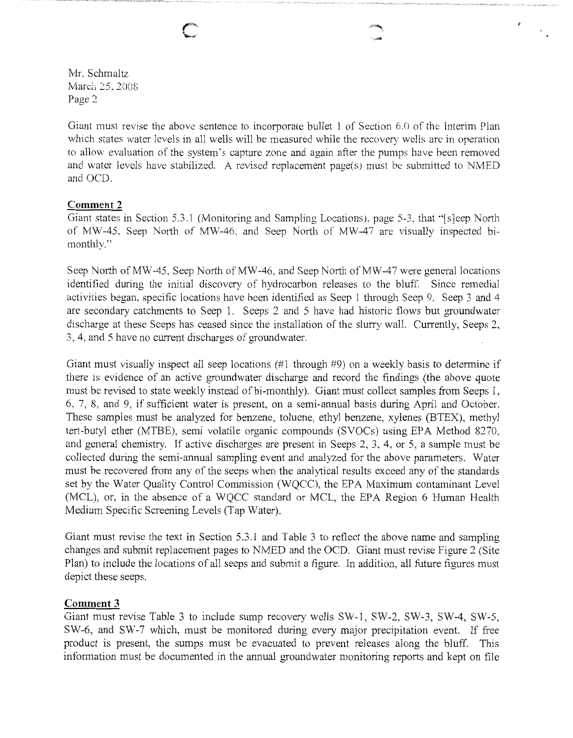Mr. Schmaltz March 25, 2008 Page 2

Giant must revise the above sentence to incorporate bullet 1 of Section 6.0 of the Interim Plan which states water levels in all wells will be measured while the recovery wells are in operation to allow evaluation of the system's capture zone and again after the pumps have been removed and water levels have stabilized. A revised replacement page(s) must be submitted to NMED and OCD.

## **Comment 2**

Giant states in Section 5.3.1 (Monitoring and Sampling Locations), page 5-3, that "[s]eep North of MW-45, Seep North of MW-46, and Seep North of MW-47 are visually inspected bimonthly."

Seep North of MW-45, Seep North of MW-46, and Seep North of MW-47 were general locations identified during the initial discovery of hydrocarbon releases to the bluff. Since remedial activities began, specific locations have been identified as Seep 1 through Seep 9. Seep 3 and 4 are secondary catchments to Seep 1. Seeps 2 and 5 have had historic flows but groundwater discharge at these Seeps has ceased since the installation of the slurry wall. Currently, Seeps 2, 3, 4, and 5 have no current discharges of groundwater.

Giant must visually inspect all seep locations (#1 through #9) on a weekly basis to determine if there is evidence of an active groundwater discharge and record the findings (the above quote must be revised to state weekly instead of bi-monthly). Giant must collect samples from Seeps 1, 6, 7, 8, and 9, if sufficient water is present, on a semi-annual basis during April and October. These samples must be analyzed for benzene, toluene, ethyl benzene, xylenes (BTEX), methyl tert-butyl ether (MTBE), semi volatile organic compounds (SVOCs) using EPA Method 8270, and general chemistry. If active discharges are present in Seeps 2, 3, 4, or 5, a sample must be collected during the semi-annual sampling event and analyzed for the above parameters. Water must be recovered from any of the seeps when the analytical results exceed any of the standards set by the Water Quality Control Commission (WQCC), the EPA Maximum contaminant Level (MCL), or, in the absence of a WQCC standard or MCL, the EPA Region 6 Human Health Medium Specific Screening Levels (Tap Water).

Giant must revise the text in Section 5.3.1 and Table 3 to reflect the above name and sampling changes and submit replacement pages to NMED and the OCD. Giant must revise Figure 2 (Site Plan) to include the locations of all seeps and submit a figure. In addition, all future figures must depict these seeps.

### **Comment 3**

Giant must revise Table 3 to include sump recovery wells SW-1, SW-2, SW-3, SW-4, SW-5, SW-6, and SW-7 which, must be monitored during every major precipitation event. If free product is present, the sumps must be evacuated to prevent releases along the bluff. This information must be documented in the annual groundwater monitoring reports and kept on file